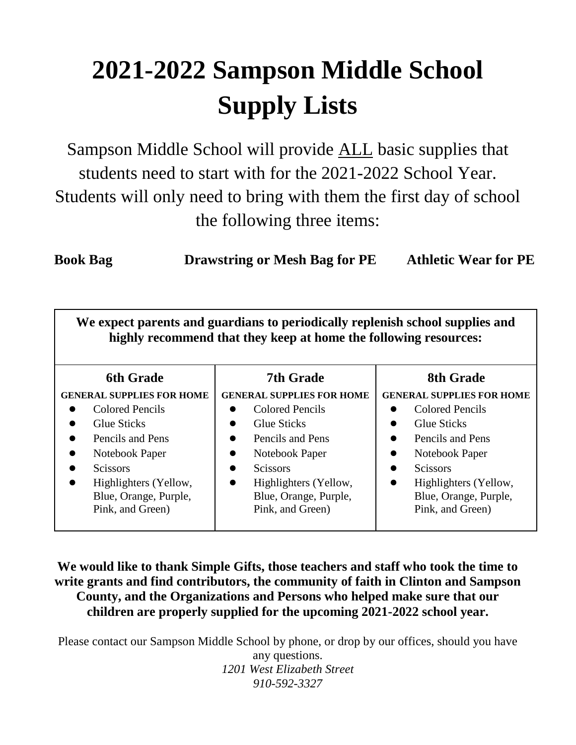## **2021-2022 Sampson Middle School Supply Lists**

Sampson Middle School will provide ALL basic supplies that students need to start with for the 2021-2022 School Year. Students will only need to bring with them the first day of school the following three items:

**Book Bag Drawstring or Mesh Bag for PE Athletic Wear for PE**

**We expect parents and guardians to periodically replenish school supplies and highly recommend that they keep at home the following resources:**

| <b>6th Grade</b>                                                                                                                   | <b>7th Grade</b>                                                                                                                                                          | 8th Grade                                                                                                                                                                              |
|------------------------------------------------------------------------------------------------------------------------------------|---------------------------------------------------------------------------------------------------------------------------------------------------------------------------|----------------------------------------------------------------------------------------------------------------------------------------------------------------------------------------|
| <b>GENERAL SUPPLIES FOR HOME</b><br>Colored Pencils<br><b>Glue Sticks</b><br>Pencils and Pens<br>Notebook Paper<br><b>Scissors</b> | <b>GENERAL SUPPLIES FOR HOME</b><br>Colored Pencils<br><b>Glue Sticks</b><br>$\bullet$<br>Pencils and Pens<br>$\bullet$<br>Notebook Paper<br>$\bullet$<br><b>Scissors</b> | <b>GENERAL SUPPLIES FOR HOME</b><br>Colored Pencils<br><b>Glue Sticks</b><br>$\bullet$<br>Pencils and Pens<br>$\bullet$<br>Notebook Paper<br>$\bullet$<br><b>Scissors</b><br>$\bullet$ |
| Highlighters (Yellow,<br>$\bullet$<br>Blue, Orange, Purple,<br>Pink, and Green)                                                    | Highlighters (Yellow,<br>$\bullet$<br>Blue, Orange, Purple,<br>Pink, and Green)                                                                                           | Highlighters (Yellow,<br>$\bullet$<br>Blue, Orange, Purple,<br>Pink, and Green)                                                                                                        |

**We would like to thank Simple Gifts, those teachers and staff who took the time to write grants and find contributors, the community of faith in Clinton and Sampson County, and the Organizations and Persons who helped make sure that our children are properly supplied for the upcoming 2021-2022 school year.**

Please contact our Sampson Middle School by phone, or drop by our offices, should you have any questions. *1201 West Elizabeth Street 910-592-3327*